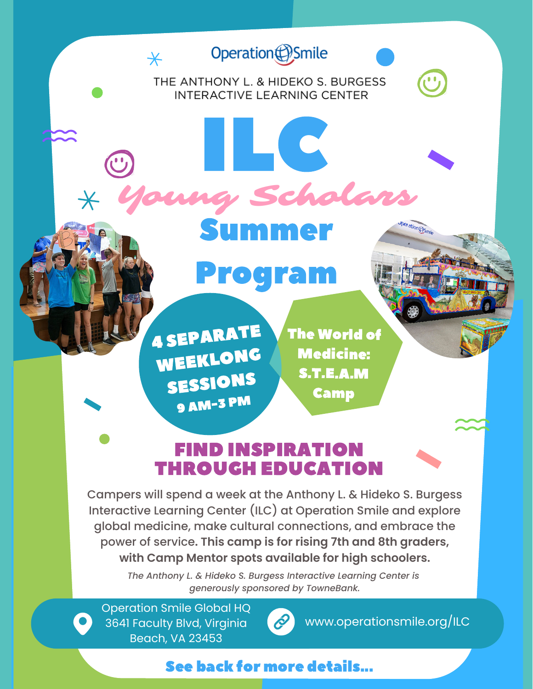### Operation (D) Smile

 $\overline{\ast}$ 

# THE ANTHONY L. & HIDEKO S. BURGESS INTERACTIVE LEARNING CENTER



Summer

Schola

## Program

4 SEPARATE WEEKLONG SESSIONS <sup>9</sup> AM-3 PM

The World of Medicine: S.T.E.A.M Camp

#### FIND INSPIRATION THROUGH EDUCATION

Campers will spend a week at the Anthony L. & Hideko S. Burgess Interactive Learning Center (ILC) at Operation Smile and explore global medicine, make cultural connections, and embrace the power of service**. This camp is for rising 7th and 8th graders, with Camp Mentor spots available for high schoolers.**

> *The Anthony L. & Hideko S. Burgess Interactive Learning Center is generously sponsored by TowneBank.*

Operation Smile Global HQ 3641 Faculty Blvd, Virginia Beach, VA 23453



www.operationsmile.org/ILC

#### See back for more details...